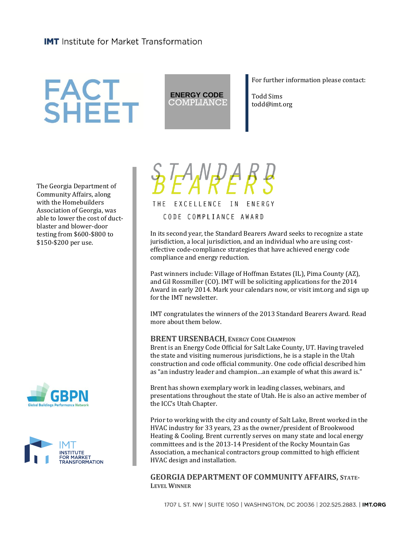## **FACT<br>SHEET**

**ENERGY CODE** COMPLIANCE For further information please contact:

Todd Sims todd@imt.org

The Georgia Department of Community Affairs, along with the Homebuilders Association of Georgia, was able to lower the cost of ductblaster and blower-door testing from \$600-\$800 to \$150-\$200 per use.







In its second year, the Standard Bearers Award seeks to recognize a state jurisdiction, a local jurisdiction, and an individual who are using costeffective code-compliance strategies that have achieved energy code compliance and energy reduction.

Past winners include: Village of Hoffman Estates (IL), Pima County (AZ), and Gil Rossmiller (CO). IMT will be soliciting applications for the 2014 Award in early 2014. Mark your calendars now, or visit imt.org and sign up for the IMT newsletter.

IMT congratulates the winners of the 2013 Standard Bearers Award. Read more about them below.

## **BRENT URSENBACH**, **ENERGY CODE CHAMPION**

Brent is an Energy Code Official for Salt Lake County, UT. Having traveled the state and visiting numerous jurisdictions, he is a staple in the Utah construction and code official community. One code official described him as "an industry leader and champion…an example of what this award is."

Brent has shown exemplary work in leading classes, webinars, and presentations throughout the state of Utah. He is also an active member of the ICC's Utah Chapter.

Prior to working with the city and county of Salt Lake, Brent worked in the HVAC industry for 33 years, 23 as the owner/president of Brookwood Heating & Cooling. Brent currently serves on many state and local energy committees and is the 2013-14 President of the Rocky Mountain Gas Association, a mechanical contractors group committed to high efficient HVAC design and installation.

**GEORGIA DEPARTMENT OF COMMUNITY AFFAIRS, STATE-LEVEL WINNER**

1707 L ST. NW | SUITE 1050 | WASHINGTON, DC 20036 | 202.525.2883. | IMT.ORG